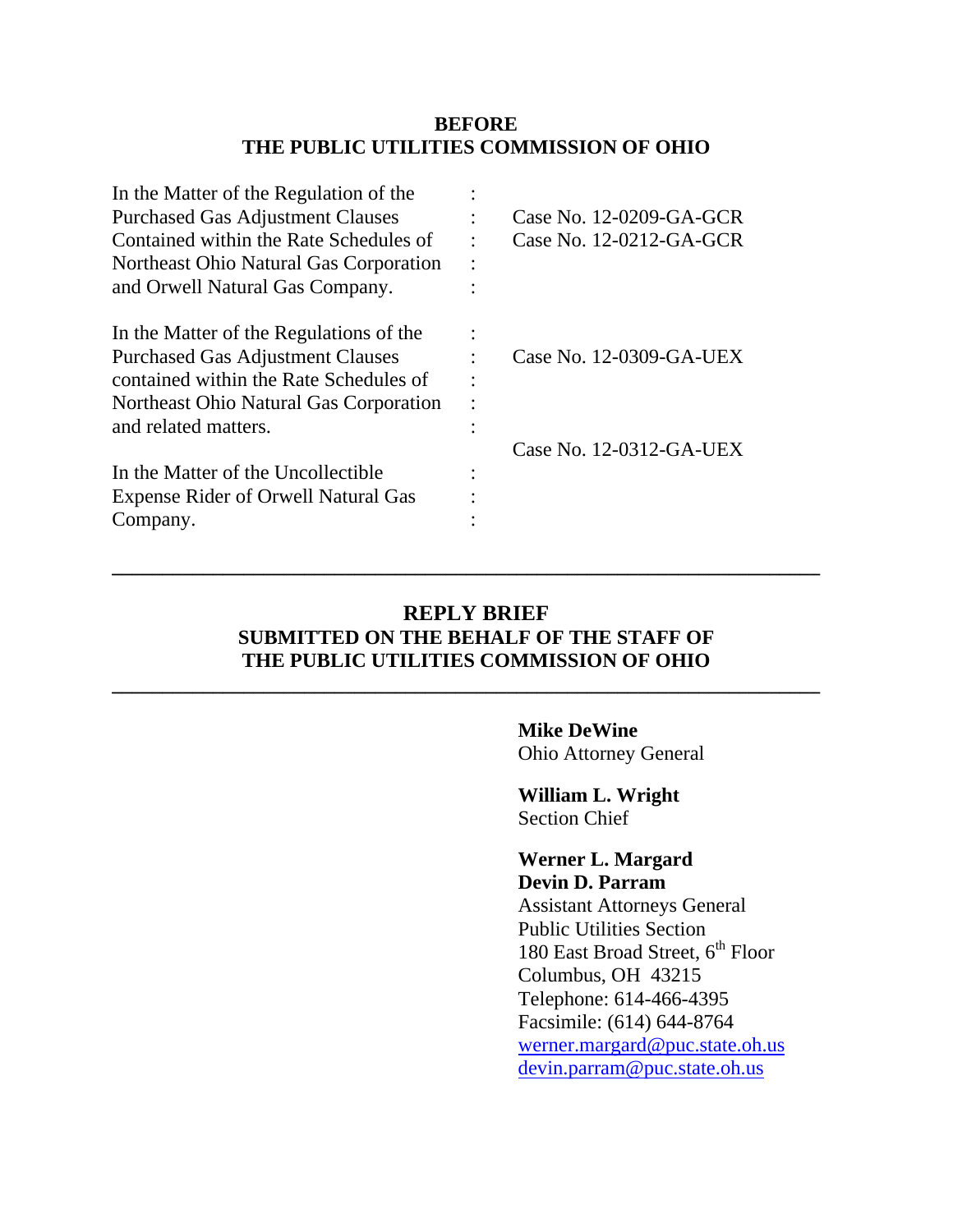### **BEFORE THE PUBLIC UTILITIES COMMISSION OF OHIO**

| In the Matter of the Regulation of the     |           |                         |
|--------------------------------------------|-----------|-------------------------|
| <b>Purchased Gas Adjustment Clauses</b>    |           | Case No. 12-0209-GA-GCR |
| Contained within the Rate Schedules of     | $\bullet$ | Case No. 12-0212-GA-GCR |
| Northeast Ohio Natural Gas Corporation     | $\bullet$ |                         |
| and Orwell Natural Gas Company.            |           |                         |
| In the Matter of the Regulations of the    |           |                         |
| <b>Purchased Gas Adjustment Clauses</b>    |           | Case No. 12-0309-GA-UEX |
| contained within the Rate Schedules of     |           |                         |
| Northeast Ohio Natural Gas Corporation     |           |                         |
| and related matters.                       |           |                         |
|                                            |           | Case No. 12-0312-GA-UEX |
| In the Matter of the Uncollectible         |           |                         |
| <b>Expense Rider of Orwell Natural Gas</b> |           |                         |
| Company.                                   |           |                         |
|                                            |           |                         |

## **REPLY BRIEF SUBMITTED ON THE BEHALF OF THE STAFF OF THE PUBLIC UTILITIES COMMISSION OF OHIO**

**\_\_\_\_\_\_\_\_\_\_\_\_\_\_\_\_\_\_\_\_\_\_\_\_\_\_\_\_\_\_\_\_\_\_\_\_\_\_\_\_\_\_\_\_\_\_\_\_\_\_\_\_\_\_\_\_\_\_\_\_\_\_\_\_\_\_\_\_\_\_** 

**\_\_\_\_\_\_\_\_\_\_\_\_\_\_\_\_\_\_\_\_\_\_\_\_\_\_\_\_\_\_\_\_\_\_\_\_\_\_\_\_\_\_\_\_\_\_\_\_\_\_\_\_\_\_\_\_\_\_\_\_\_\_\_\_\_\_\_\_\_\_** 

**Mike DeWine** 

Ohio Attorney General

**William L. Wright**  Section Chief

### **Werner L. Margard Devin D. Parram**

Assistant Attorneys General Public Utilities Section 180 East Broad Street,  $6^{\rm th}$  Floor Columbus, OH 43215 Telephone: 614-466-4395 Facsimile: (614) 644-8764 werner.margard@puc.state.oh.us devin.parram@puc.state.oh.us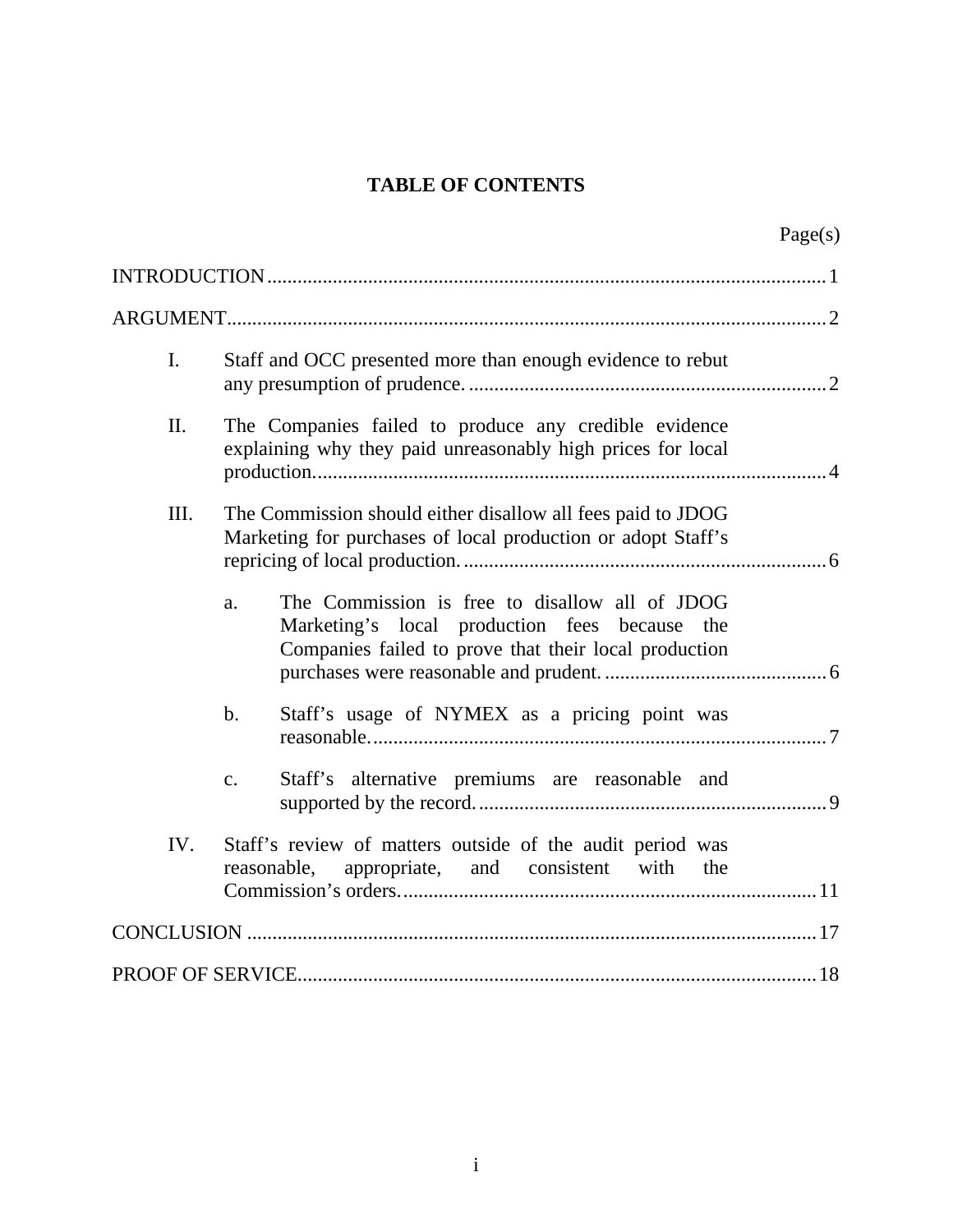# **TABLE OF CONTENTS**

|      |                                                                                                                                                                | Page(s) |  |
|------|----------------------------------------------------------------------------------------------------------------------------------------------------------------|---------|--|
|      |                                                                                                                                                                |         |  |
|      |                                                                                                                                                                |         |  |
| I.   | Staff and OCC presented more than enough evidence to rebut                                                                                                     |         |  |
| II.  | The Companies failed to produce any credible evidence<br>explaining why they paid unreasonably high prices for local                                           |         |  |
| III. | The Commission should either disallow all fees paid to JDOG<br>Marketing for purchases of local production or adopt Staff's                                    |         |  |
|      | The Commission is free to disallow all of JDOG<br>a.<br>Marketing's local production fees because the<br>Companies failed to prove that their local production |         |  |
|      | Staff's usage of NYMEX as a pricing point was<br>b.                                                                                                            |         |  |
|      | Staff's alternative premiums are reasonable and<br>$\mathbf{c}$ .                                                                                              |         |  |
| IV.  | Staff's review of matters outside of the audit period was<br>reasonable, appropriate, and consistent with the                                                  |         |  |
|      |                                                                                                                                                                |         |  |
|      |                                                                                                                                                                |         |  |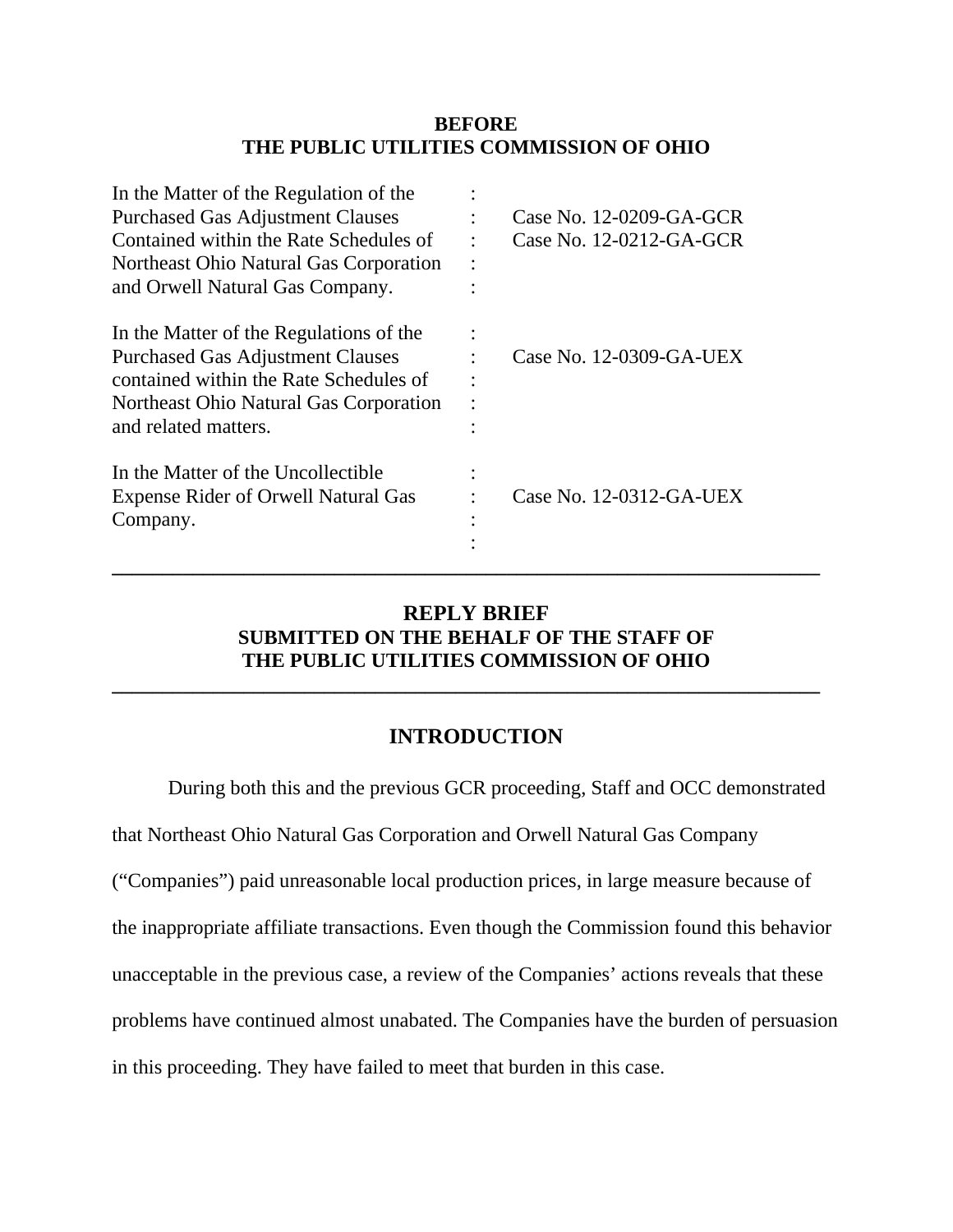### **BEFORE THE PUBLIC UTILITIES COMMISSION OF OHIO**

| In the Matter of the Regulation of the     |                         |
|--------------------------------------------|-------------------------|
| <b>Purchased Gas Adjustment Clauses</b>    | Case No. 12-0209-GA-GCR |
| Contained within the Rate Schedules of     | Case No. 12-0212-GA-GCR |
| Northeast Ohio Natural Gas Corporation     |                         |
| and Orwell Natural Gas Company.            |                         |
| In the Matter of the Regulations of the    |                         |
| <b>Purchased Gas Adjustment Clauses</b>    | Case No. 12-0309-GA-UEX |
| contained within the Rate Schedules of     |                         |
| Northeast Ohio Natural Gas Corporation     |                         |
| and related matters.                       |                         |
| In the Matter of the Uncollectible         |                         |
| <b>Expense Rider of Orwell Natural Gas</b> | Case No. 12-0312-GA-UEX |
| Company.                                   |                         |
|                                            |                         |
|                                            |                         |

## **REPLY BRIEF SUBMITTED ON THE BEHALF OF THE STAFF OF THE PUBLIC UTILITIES COMMISSION OF OHIO**

**\_\_\_\_\_\_\_\_\_\_\_\_\_\_\_\_\_\_\_\_\_\_\_\_\_\_\_\_\_\_\_\_\_\_\_\_\_\_\_\_\_\_\_\_\_\_\_\_\_\_\_\_\_\_\_\_\_\_\_\_\_\_\_\_\_\_\_\_\_\_** 

## **INTRODUCTION**

During both this and the previous GCR proceeding, Staff and OCC demonstrated

that Northeast Ohio Natural Gas Corporation and Orwell Natural Gas Company

("Companies") paid unreasonable local production prices, in large measure because of

the inappropriate affiliate transactions. Even though the Commission found this behavior

unacceptable in the previous case, a review of the Companies' actions reveals that these

problems have continued almost unabated. The Companies have the burden of persuasion

in this proceeding. They have failed to meet that burden in this case.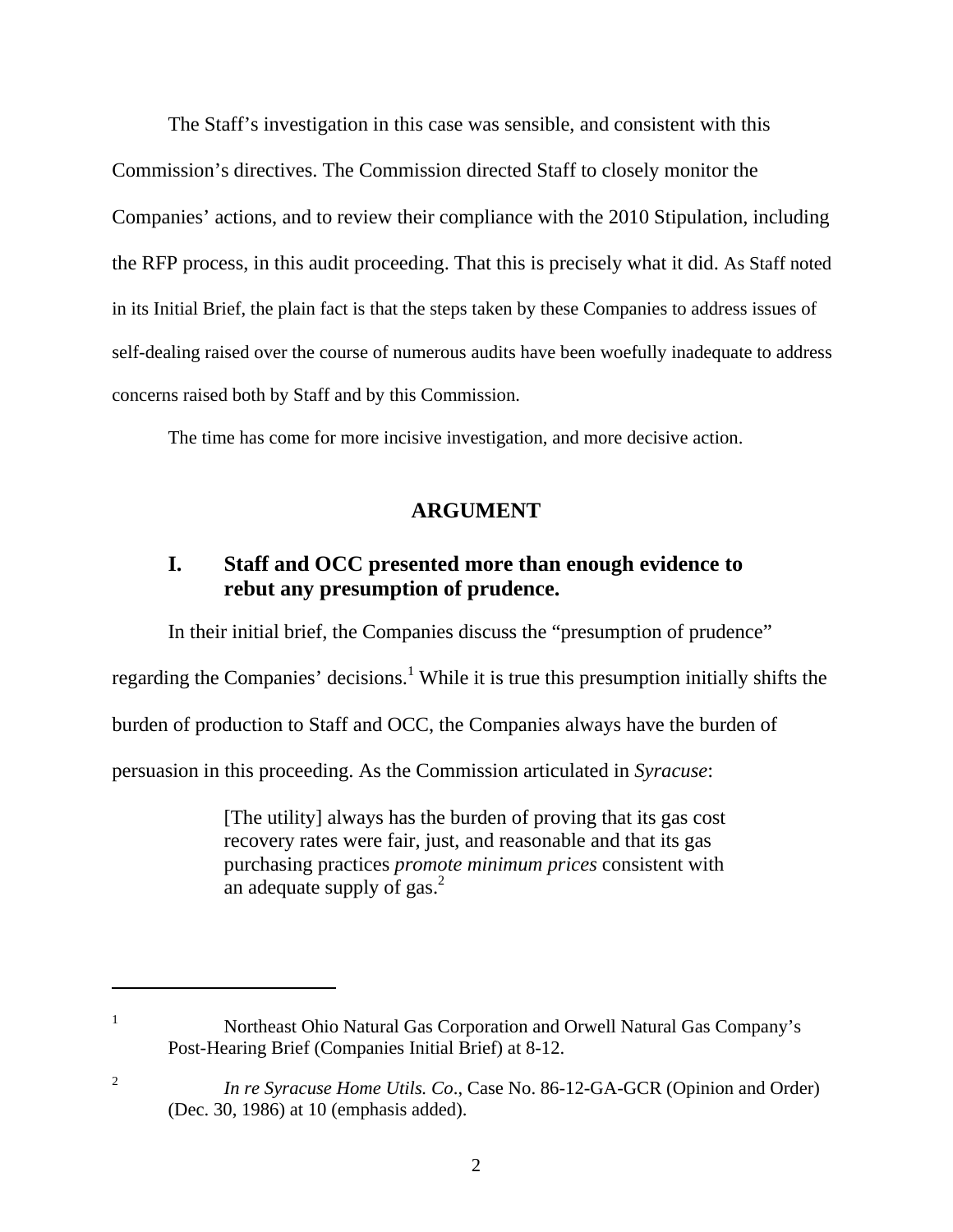The Staff's investigation in this case was sensible, and consistent with this Commission's directives. The Commission directed Staff to closely monitor the Companies' actions, and to review their compliance with the 2010 Stipulation, including the RFP process, in this audit proceeding. That this is precisely what it did. As Staff noted in its Initial Brief, the plain fact is that the steps taken by these Companies to address issues of self-dealing raised over the course of numerous audits have been woefully inadequate to address concerns raised both by Staff and by this Commission.

The time has come for more incisive investigation, and more decisive action.

## **ARGUMENT**

## **I. Staff and OCC presented more than enough evidence to rebut any presumption of prudence.**

In their initial brief, the Companies discuss the "presumption of prudence"

regarding the Companies' decisions.<sup>1</sup> While it is true this presumption initially shifts the

burden of production to Staff and OCC, the Companies always have the burden of

persuasion in this proceeding. As the Commission articulated in *Syracuse*:

 $\overline{a}$ 

1

2

[The utility] always has the burden of proving that its gas cost recovery rates were fair, just, and reasonable and that its gas purchasing practices *promote minimum prices* consistent with an adequate supply of gas. $<sup>2</sup>$ </sup>

2

Northeast Ohio Natural Gas Corporation and Orwell Natural Gas Company's Post-Hearing Brief (Companies Initial Brief) at 8-12.

*In re Syracuse Home Utils. Co*., Case No. 86-12-GA-GCR (Opinion and Order) (Dec. 30, 1986) at 10 (emphasis added).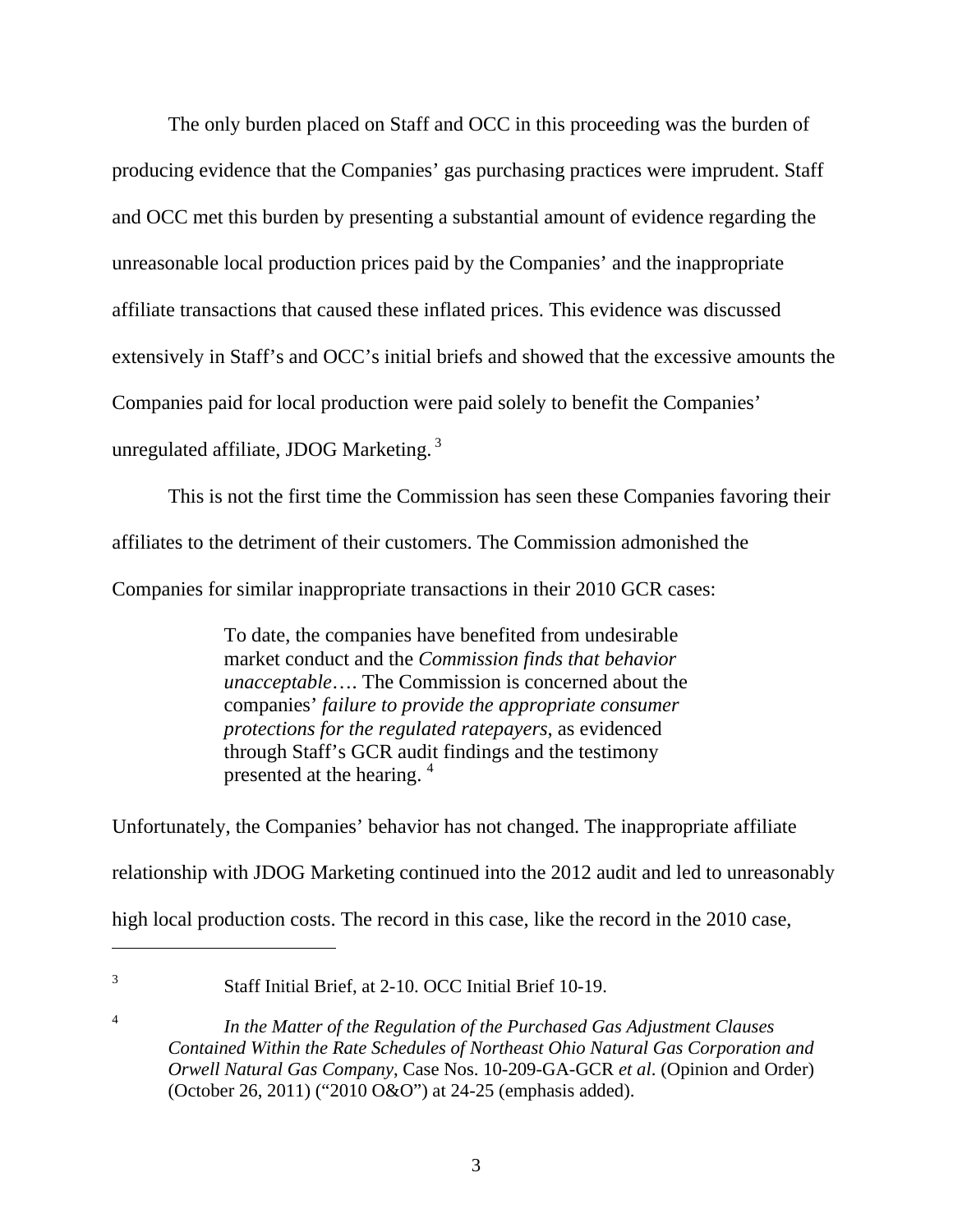The only burden placed on Staff and OCC in this proceeding was the burden of producing evidence that the Companies' gas purchasing practices were imprudent. Staff and OCC met this burden by presenting a substantial amount of evidence regarding the unreasonable local production prices paid by the Companies' and the inappropriate affiliate transactions that caused these inflated prices. This evidence was discussed extensively in Staff's and OCC's initial briefs and showed that the excessive amounts the Companies paid for local production were paid solely to benefit the Companies' unregulated affiliate, JDOG Marketing. 3

 This is not the first time the Commission has seen these Companies favoring their affiliates to the detriment of their customers. The Commission admonished the Companies for similar inappropriate transactions in their 2010 GCR cases:

> To date, the companies have benefited from undesirable market conduct and the *Commission finds that behavior unacceptable*…. The Commission is concerned about the companies' *failure to provide the appropriate consumer protections for the regulated ratepayers*, as evidenced through Staff's GCR audit findings and the testimony presented at the hearing. 4

Unfortunately, the Companies' behavior has not changed. The inappropriate affiliate relationship with JDOG Marketing continued into the 2012 audit and led to unreasonably high local production costs. The record in this case, like the record in the 2010 case,

Staff Initial Brief, at 2-10. OCC Initial Brief 10-19.

 $\overline{a}$ 3

4

 *In the Matter of the Regulation of the Purchased Gas Adjustment Clauses Contained Within the Rate Schedules of Northeast Ohio Natural Gas Corporation and Orwell Natural Gas Company*, Case Nos. 10-209-GA-GCR *et al*. (Opinion and Order) (October 26, 2011) ("2010 O&O") at 24-25 (emphasis added).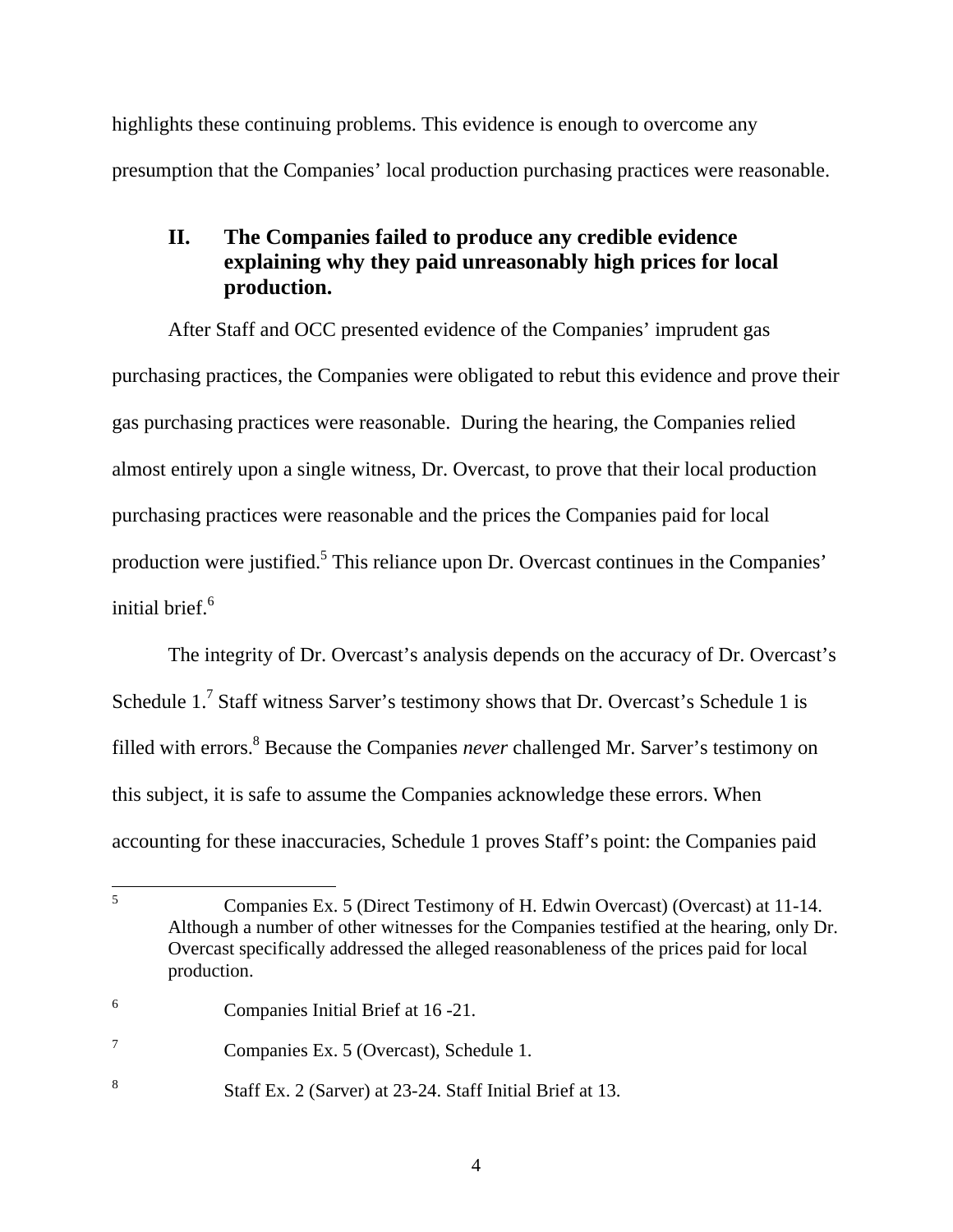highlights these continuing problems. This evidence is enough to overcome any presumption that the Companies' local production purchasing practices were reasonable.

# **II. The Companies failed to produce any credible evidence explaining why they paid unreasonably high prices for local production.**

 After Staff and OCC presented evidence of the Companies' imprudent gas purchasing practices, the Companies were obligated to rebut this evidence and prove their gas purchasing practices were reasonable. During the hearing, the Companies relied almost entirely upon a single witness, Dr. Overcast, to prove that their local production purchasing practices were reasonable and the prices the Companies paid for local production were justified.<sup>5</sup> This reliance upon Dr. Overcast continues in the Companies' initial brief.<sup>6</sup>

 The integrity of Dr. Overcast's analysis depends on the accuracy of Dr. Overcast's Schedule  $1.<sup>7</sup>$  Staff witness Sarver's testimony shows that Dr. Overcast's Schedule 1 is filled with errors.<sup>8</sup> Because the Companies *never* challenged Mr. Sarver's testimony on this subject, it is safe to assume the Companies acknowledge these errors. When accounting for these inaccuracies, Schedule 1 proves Staff's point: the Companies paid

 5 Companies Ex. 5 (Direct Testimony of H. Edwin Overcast) (Overcast) at 11-14. Although a number of other witnesses for the Companies testified at the hearing, only Dr. Overcast specifically addressed the alleged reasonableness of the prices paid for local production.

<sup>6</sup> Companies Initial Brief at 16 -21.

<sup>7</sup> Companies Ex. 5 (Overcast), Schedule 1.

<sup>8</sup> Staff Ex. 2 (Sarver) at 23-24. Staff Initial Brief at 13.

<sup>4</sup>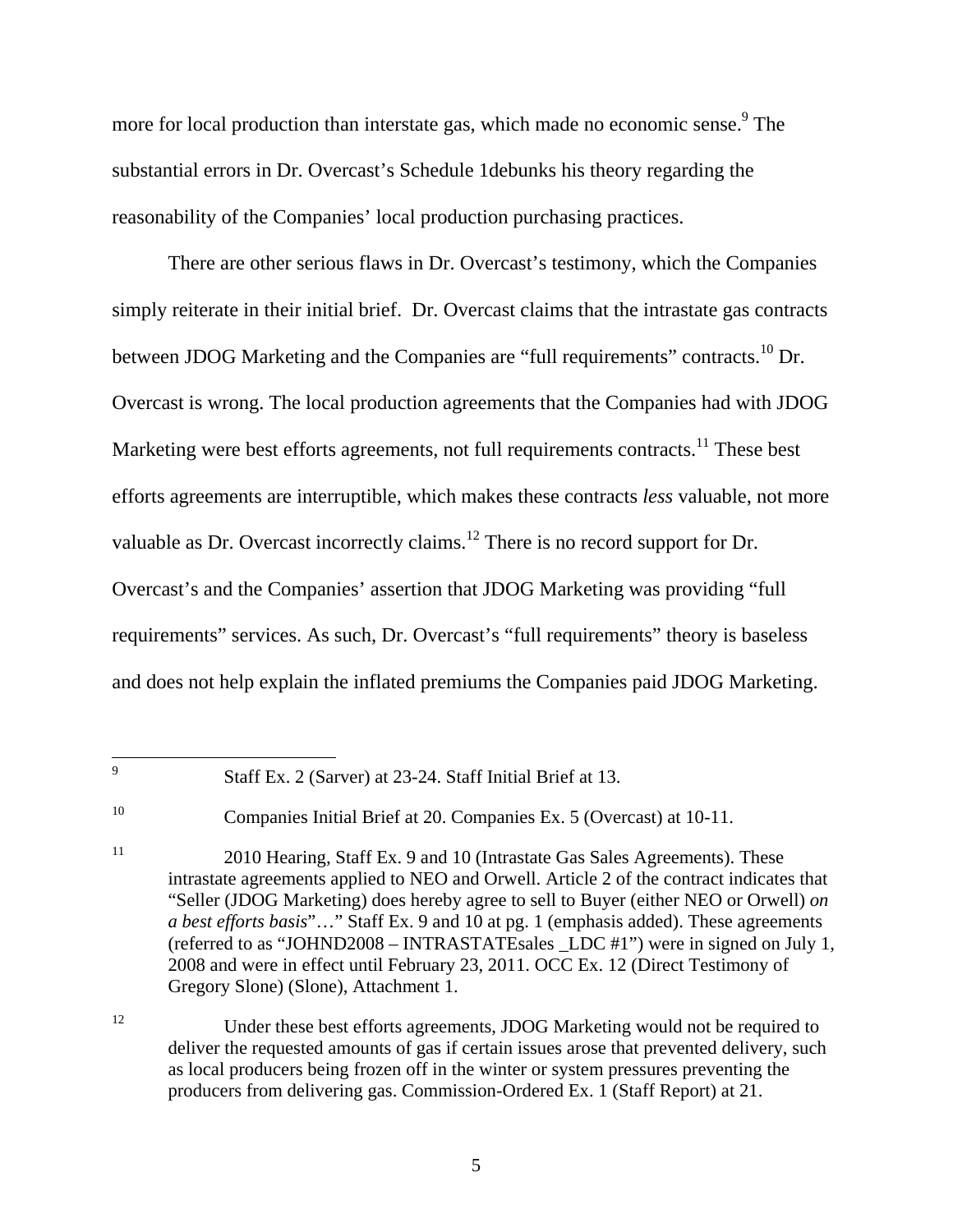more for local production than interstate gas, which made no economic sense.<sup>9</sup> The substantial errors in Dr. Overcast's Schedule 1debunks his theory regarding the reasonability of the Companies' local production purchasing practices.

 There are other serious flaws in Dr. Overcast's testimony, which the Companies simply reiterate in their initial brief. Dr. Overcast claims that the intrastate gas contracts between JDOG Marketing and the Companies are "full requirements" contracts.<sup>10</sup> Dr. Overcast is wrong. The local production agreements that the Companies had with JDOG Marketing were best efforts agreements, not full requirements contracts.<sup>11</sup> These best efforts agreements are interruptible, which makes these contracts *less* valuable, not more valuable as Dr. Overcast incorrectly claims.<sup>12</sup> There is no record support for Dr. Overcast's and the Companies' assertion that JDOG Marketing was providing "full requirements" services. As such, Dr. Overcast's "full requirements" theory is baseless and does not help explain the inflated premiums the Companies paid JDOG Marketing.

—<br>9

Staff Ex. 2 (Sarver) at 23-24. Staff Initial Brief at 13.

<sup>10</sup> Companies Initial Brief at 20. Companies Ex. 5 (Overcast) at 10-11.

<sup>11 2010</sup> Hearing, Staff Ex. 9 and 10 (Intrastate Gas Sales Agreements). These intrastate agreements applied to NEO and Orwell. Article 2 of the contract indicates that "Seller (JDOG Marketing) does hereby agree to sell to Buyer (either NEO or Orwell) *on a best efforts basis*"…" Staff Ex. 9 and 10 at pg. 1 (emphasis added). These agreements (referred to as "JOHND2008 – INTRASTATE sales LDC  $#1$ ") were in signed on July 1, 2008 and were in effect until February 23, 2011. OCC Ex. 12 (Direct Testimony of Gregory Slone) (Slone), Attachment 1.

<sup>&</sup>lt;sup>12</sup> Under these best efforts agreements, JDOG Marketing would not be required to deliver the requested amounts of gas if certain issues arose that prevented delivery, such as local producers being frozen off in the winter or system pressures preventing the producers from delivering gas. Commission-Ordered Ex. 1 (Staff Report) at 21.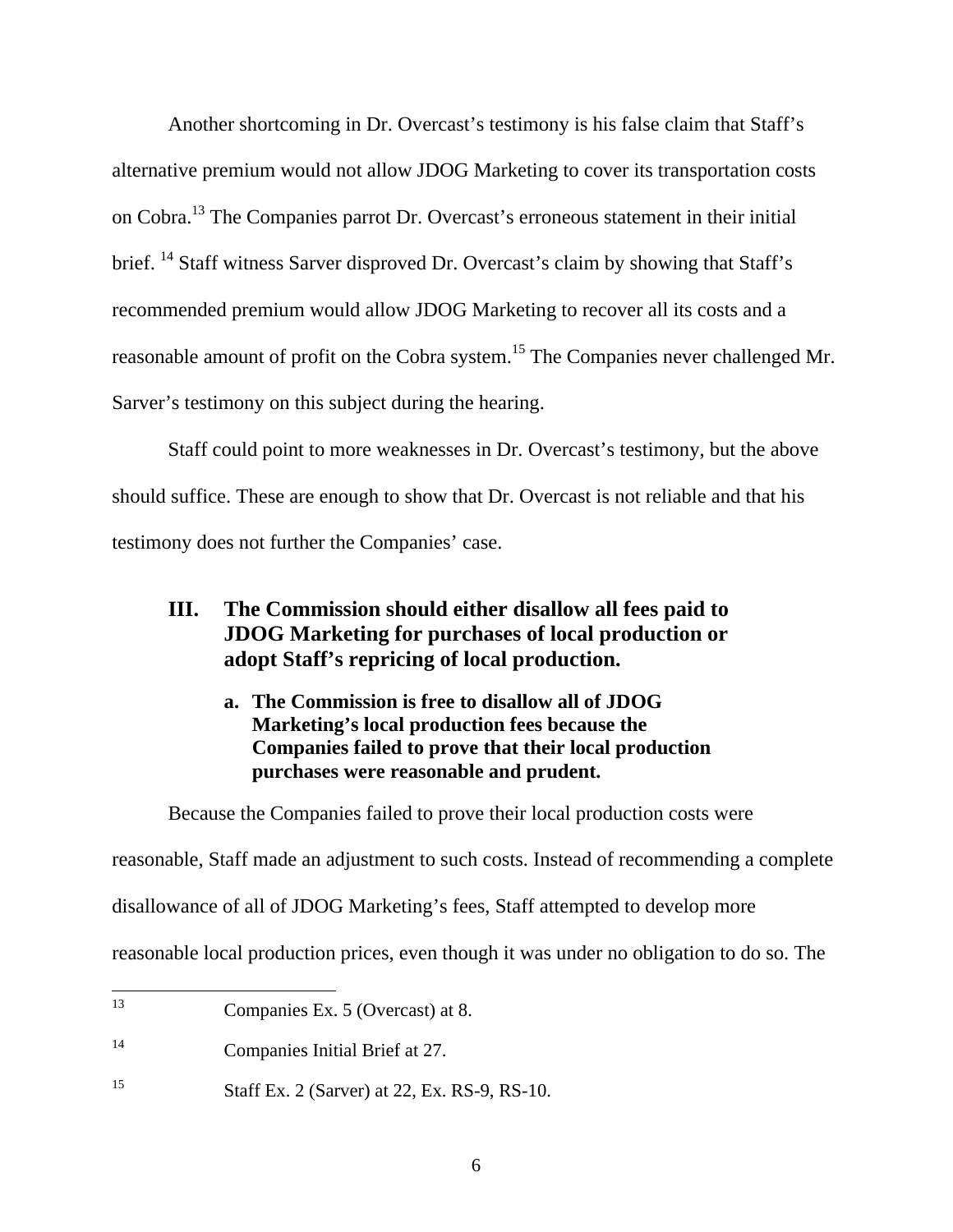Another shortcoming in Dr. Overcast's testimony is his false claim that Staff's alternative premium would not allow JDOG Marketing to cover its transportation costs on Cobra.13 The Companies parrot Dr. Overcast's erroneous statement in their initial brief. <sup>14</sup> Staff witness Sarver disproved Dr. Overcast's claim by showing that Staff's recommended premium would allow JDOG Marketing to recover all its costs and a reasonable amount of profit on the Cobra system.<sup>15</sup> The Companies never challenged Mr. Sarver's testimony on this subject during the hearing.

 Staff could point to more weaknesses in Dr. Overcast's testimony, but the above should suffice. These are enough to show that Dr. Overcast is not reliable and that his testimony does not further the Companies' case.

# **III. The Commission should either disallow all fees paid to JDOG Marketing for purchases of local production or adopt Staff's repricing of local production.**

**a. The Commission is free to disallow all of JDOG Marketing's local production fees because the Companies failed to prove that their local production purchases were reasonable and prudent.** 

 Because the Companies failed to prove their local production costs were reasonable, Staff made an adjustment to such costs. Instead of recommending a complete disallowance of all of JDOG Marketing's fees, Staff attempted to develop more reasonable local production prices, even though it was under no obligation to do so. The

<sup>13</sup> Companies Ex. 5 (Overcast) at 8.

<sup>14</sup> Companies Initial Brief at 27.

<sup>15</sup> Staff Ex. 2 (Sarver) at 22, Ex. RS-9, RS-10.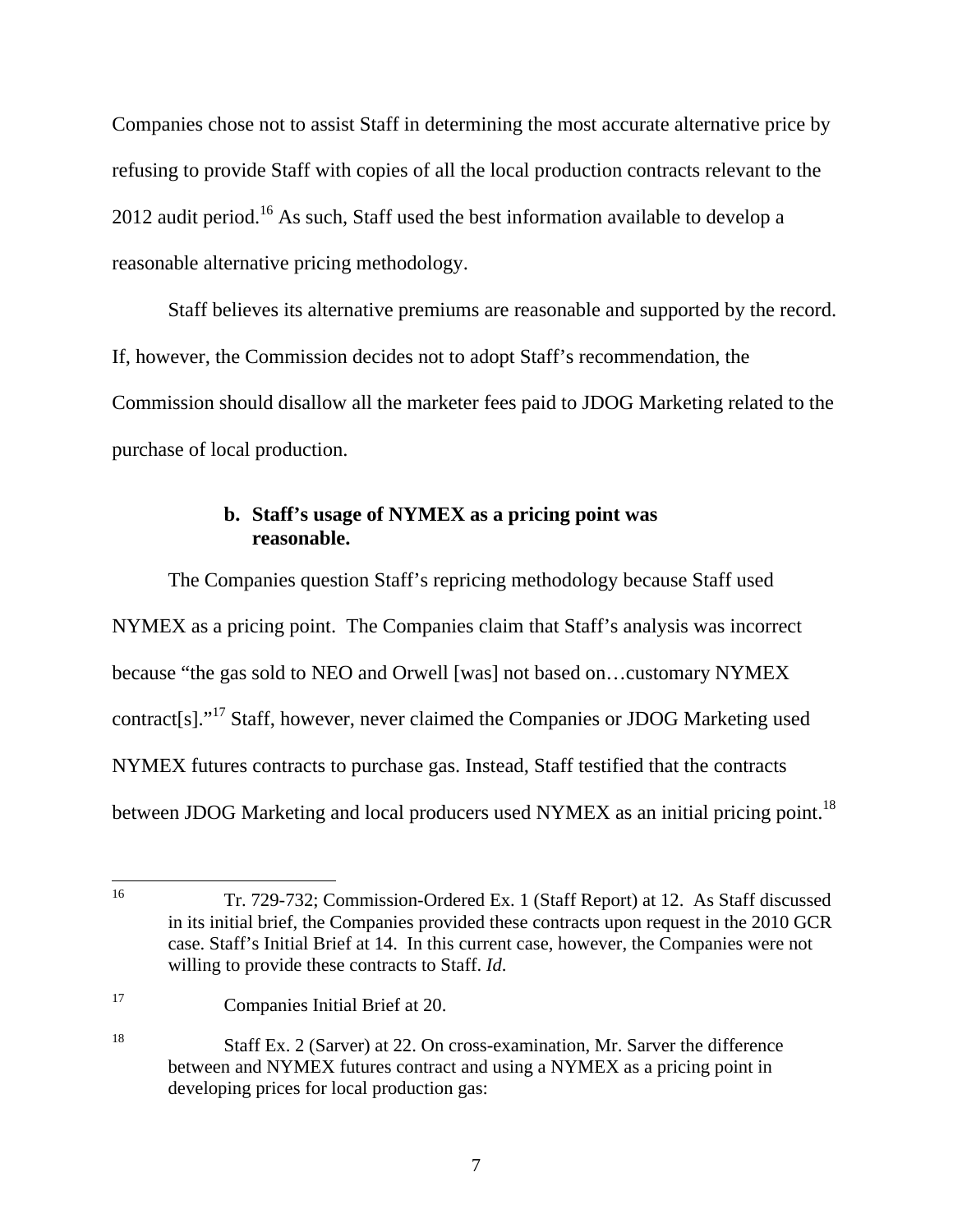Companies chose not to assist Staff in determining the most accurate alternative price by refusing to provide Staff with copies of all the local production contracts relevant to the 2012 audit period.<sup>16</sup> As such, Staff used the best information available to develop a reasonable alternative pricing methodology.

 Staff believes its alternative premiums are reasonable and supported by the record. If, however, the Commission decides not to adopt Staff's recommendation, the Commission should disallow all the marketer fees paid to JDOG Marketing related to the purchase of local production.

## **b. Staff's usage of NYMEX as a pricing point was reasonable.**

 The Companies question Staff's repricing methodology because Staff used NYMEX as a pricing point. The Companies claim that Staff's analysis was incorrect because "the gas sold to NEO and Orwell [was] not based on…customary NYMEX contract[s]."17 Staff, however, never claimed the Companies or JDOG Marketing used NYMEX futures contracts to purchase gas. Instead, Staff testified that the contracts between JDOG Marketing and local producers used NYMEX as an initial pricing point.<sup>18</sup>

17 Companies Initial Brief at 20.

 $16$ 16 Tr. 729-732; Commission-Ordered Ex. 1 (Staff Report) at 12. As Staff discussed in its initial brief, the Companies provided these contracts upon request in the 2010 GCR case. Staff's Initial Brief at 14. In this current case, however, the Companies were not willing to provide these contracts to Staff. *Id*.

<sup>18</sup> Staff Ex. 2 (Sarver) at 22. On cross-examination, Mr. Sarver the difference between and NYMEX futures contract and using a NYMEX as a pricing point in developing prices for local production gas: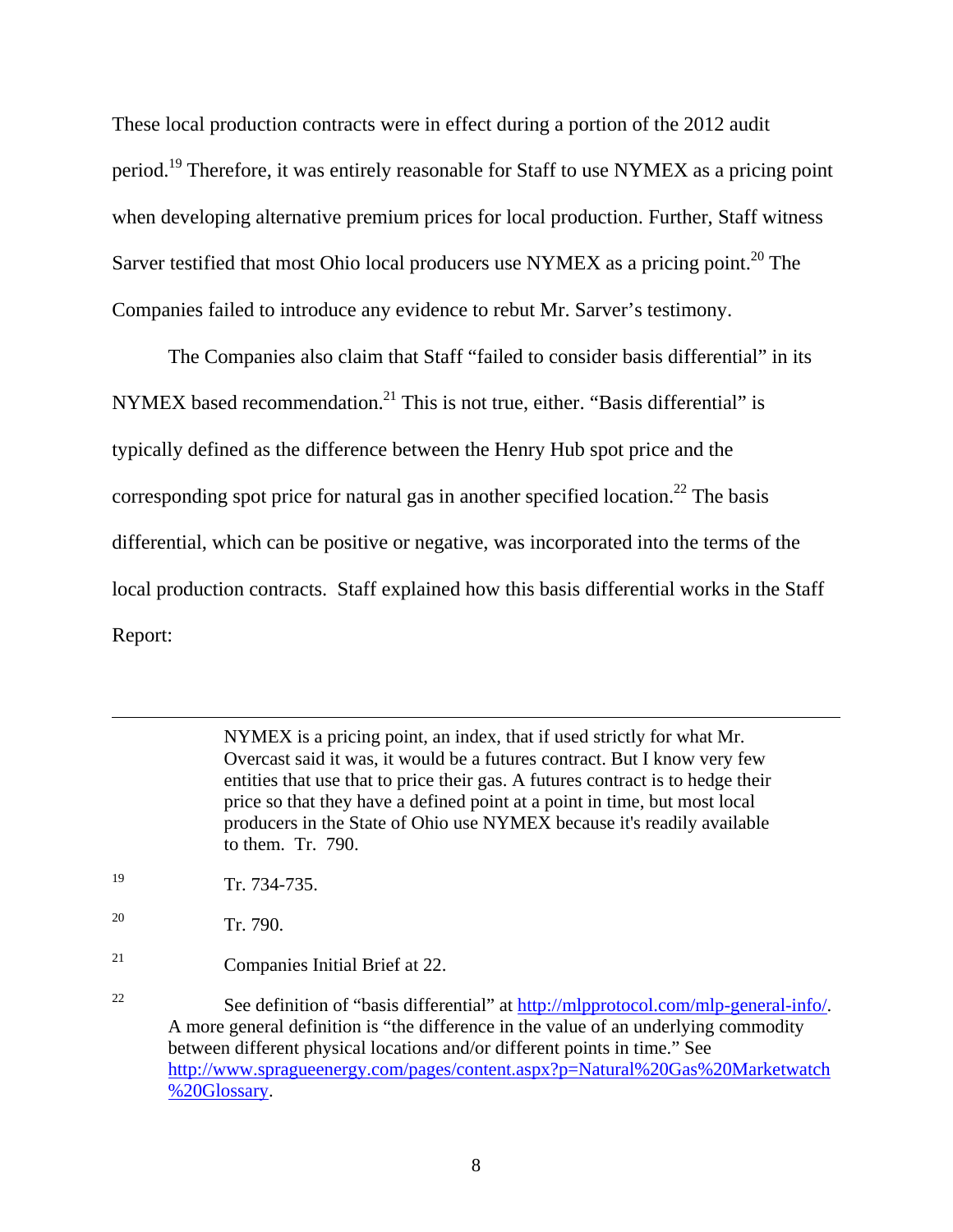These local production contracts were in effect during a portion of the 2012 audit period.19 Therefore, it was entirely reasonable for Staff to use NYMEX as a pricing point when developing alternative premium prices for local production. Further, Staff witness Sarver testified that most Ohio local producers use NYMEX as a pricing point.<sup>20</sup> The Companies failed to introduce any evidence to rebut Mr. Sarver's testimony.

 The Companies also claim that Staff "failed to consider basis differential" in its NYMEX based recommendation.<sup>21</sup> This is not true, either. "Basis differential" is typically defined as the difference between the Henry Hub spot price and the corresponding spot price for natural gas in another specified location.<sup>22</sup> The basis differential, which can be positive or negative, was incorporated into the terms of the local production contracts. Staff explained how this basis differential works in the Staff Report:

> NYMEX is a pricing point, an index, that if used strictly for what Mr. Overcast said it was, it would be a futures contract. But I know very few entities that use that to price their gas. A futures contract is to hedge their price so that they have a defined point at a point in time, but most local producers in the State of Ohio use NYMEX because it's readily available to them. Tr. 790.

- 19 Tr. 734-735.
- 20 Tr. 790.

 $\overline{a}$ 

21 Companies Initial Brief at 22.

<sup>22</sup> See definition of "basis differential" at http://mlpprotocol.com/mlp-general-info/. A more general definition is "the difference in the value of an underlying commodity between different physical locations and/or different points in time." See http://www.spragueenergy.com/pages/content.aspx?p=Natural%20Gas%20Marketwatch %20Glossary.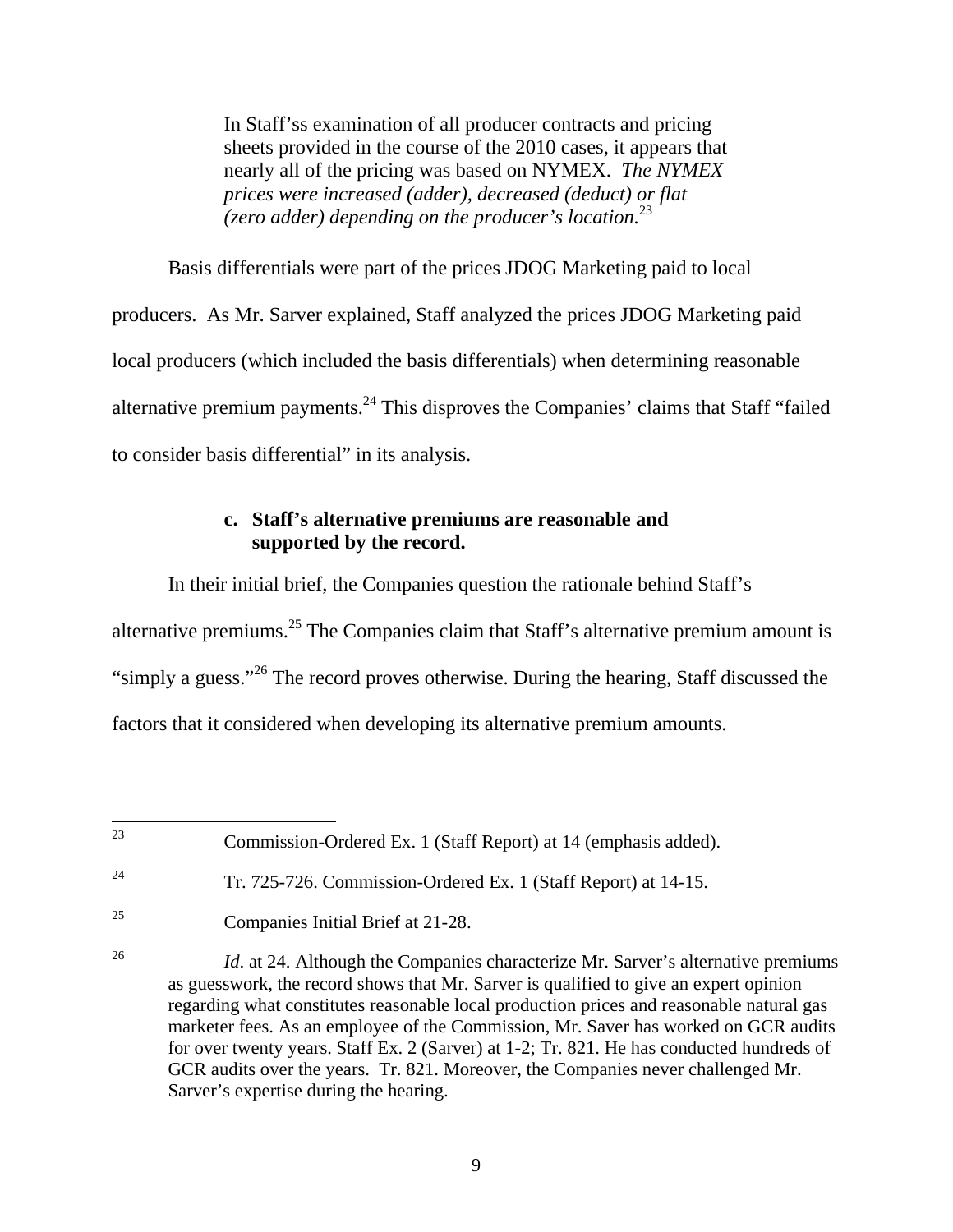In Staff'ss examination of all producer contracts and pricing sheets provided in the course of the 2010 cases, it appears that nearly all of the pricing was based on NYMEX. *The NYMEX prices were increased (adder), decreased (deduct) or flat (zero adder) depending on the producer's location.*23

 Basis differentials were part of the prices JDOG Marketing paid to local producers. As Mr. Sarver explained, Staff analyzed the prices JDOG Marketing paid local producers (which included the basis differentials) when determining reasonable alternative premium payments.<sup>24</sup> This disproves the Companies' claims that Staff "failed" to consider basis differential" in its analysis.

### **c. Staff's alternative premiums are reasonable and supported by the record.**

 In their initial brief, the Companies question the rationale behind Staff's alternative premiums.25 The Companies claim that Staff's alternative premium amount is "simply a guess."26 The record proves otherwise. During the hearing, Staff discussed the factors that it considered when developing its alternative premium amounts.

 $23$ Commission-Ordered Ex. 1 (Staff Report) at 14 (emphasis added).

<sup>24</sup> Tr. 725-726. Commission-Ordered Ex. 1 (Staff Report) at 14-15.

<sup>25</sup> Companies Initial Brief at 21-28.

<sup>&</sup>lt;sup>26</sup> *Id.* at 24. Although the Companies characterize Mr. Sarver's alternative premiums as guesswork, the record shows that Mr. Sarver is qualified to give an expert opinion regarding what constitutes reasonable local production prices and reasonable natural gas marketer fees. As an employee of the Commission, Mr. Saver has worked on GCR audits for over twenty years. Staff Ex. 2 (Sarver) at 1-2; Tr. 821. He has conducted hundreds of GCR audits over the years. Tr. 821. Moreover, the Companies never challenged Mr. Sarver's expertise during the hearing.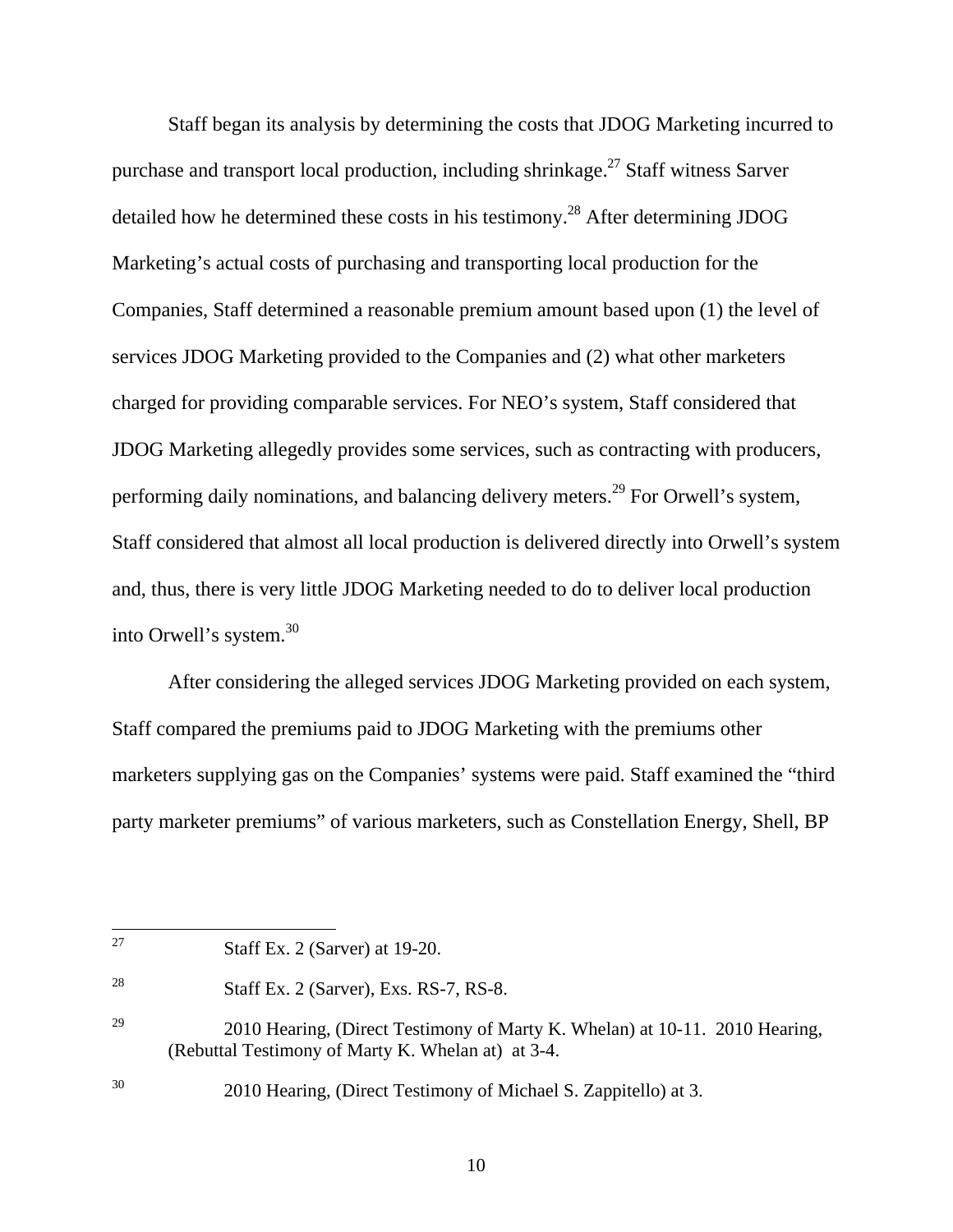Staff began its analysis by determining the costs that JDOG Marketing incurred to purchase and transport local production, including shrinkage.<sup>27</sup> Staff witness Sarver detailed how he determined these costs in his testimony.<sup>28</sup> After determining JDOG Marketing's actual costs of purchasing and transporting local production for the Companies, Staff determined a reasonable premium amount based upon (1) the level of services JDOG Marketing provided to the Companies and (2) what other marketers charged for providing comparable services. For NEO's system, Staff considered that JDOG Marketing allegedly provides some services, such as contracting with producers, performing daily nominations, and balancing delivery meters.29 For Orwell's system, Staff considered that almost all local production is delivered directly into Orwell's system and, thus, there is very little JDOG Marketing needed to do to deliver local production into Orwell's system.30

 After considering the alleged services JDOG Marketing provided on each system, Staff compared the premiums paid to JDOG Marketing with the premiums other marketers supplying gas on the Companies' systems were paid. Staff examined the "third party marketer premiums" of various marketers, such as Constellation Energy, Shell, BP

 $27$ 

Staff Ex. 2 (Sarver) at  $19-20$ .

<sup>28</sup> Staff Ex. 2 (Sarver), Exs. RS-7, RS-8.

<sup>&</sup>lt;sup>29</sup> 2010 Hearing, (Direct Testimony of Marty K. Whelan) at 10-11. 2010 Hearing, (Rebuttal Testimony of Marty K. Whelan at) at 3-4.

<sup>30 2010</sup> Hearing, (Direct Testimony of Michael S. Zappitello) at 3.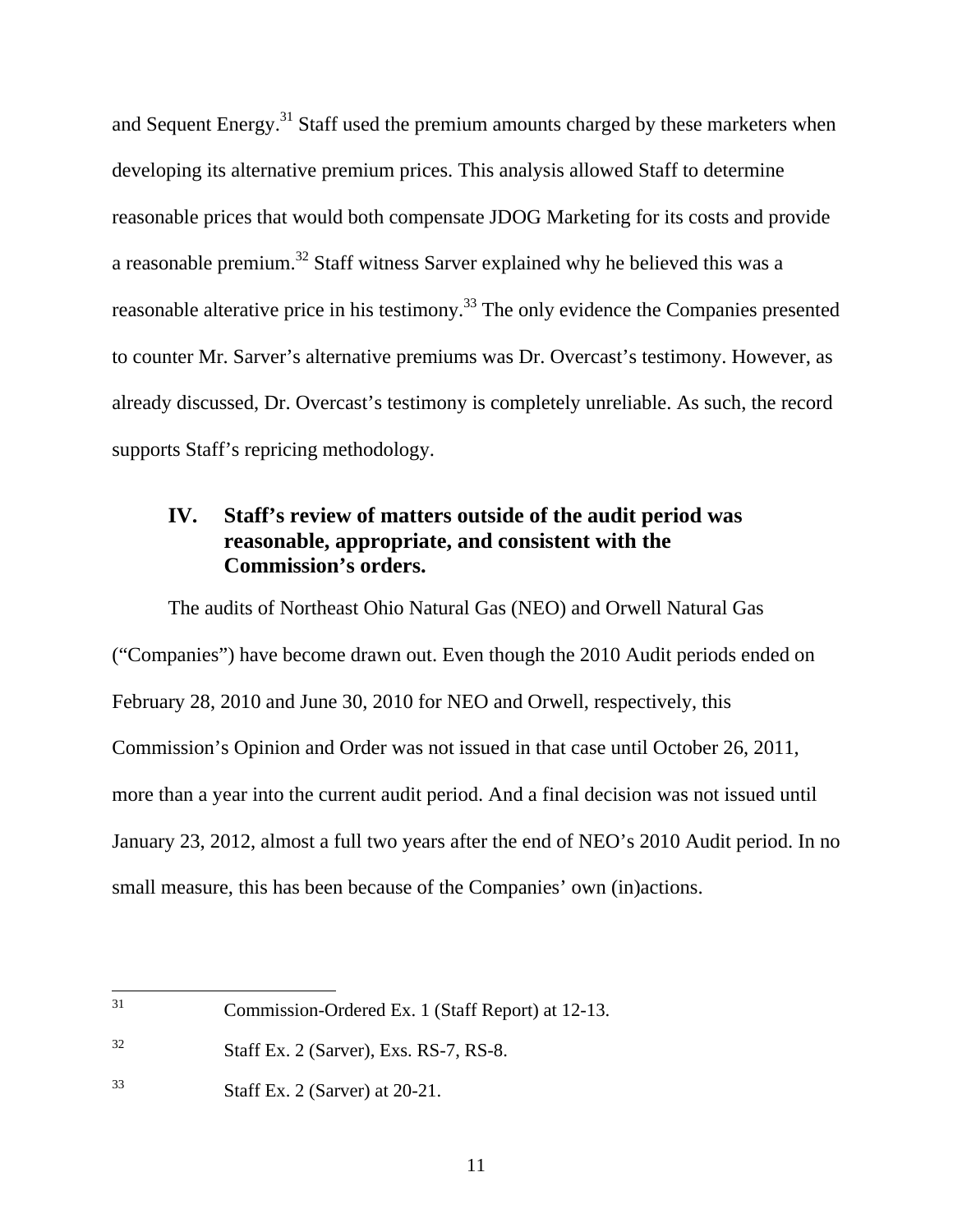and Sequent Energy.<sup>31</sup> Staff used the premium amounts charged by these marketers when developing its alternative premium prices. This analysis allowed Staff to determine reasonable prices that would both compensate JDOG Marketing for its costs and provide a reasonable premium.<sup>32</sup> Staff witness Sarver explained why he believed this was a reasonable alterative price in his testimony.<sup>33</sup> The only evidence the Companies presented to counter Mr. Sarver's alternative premiums was Dr. Overcast's testimony. However, as already discussed, Dr. Overcast's testimony is completely unreliable. As such, the record supports Staff's repricing methodology.

# **IV. Staff's review of matters outside of the audit period was reasonable, appropriate, and consistent with the Commission's orders.**

 The audits of Northeast Ohio Natural Gas (NEO) and Orwell Natural Gas ("Companies") have become drawn out. Even though the 2010 Audit periods ended on February 28, 2010 and June 30, 2010 for NEO and Orwell, respectively, this Commission's Opinion and Order was not issued in that case until October 26, 2011, more than a year into the current audit period. And a final decision was not issued until January 23, 2012, almost a full two years after the end of NEO's 2010 Audit period. In no small measure, this has been because of the Companies' own (in)actions.

 $31$ 31 Commission-Ordered Ex. 1 (Staff Report) at 12-13.

 $32$  Staff Ex. 2 (Sarver), Exs. RS-7, RS-8.

<sup>33</sup> Staff Ex. 2 (Sarver) at 20-21.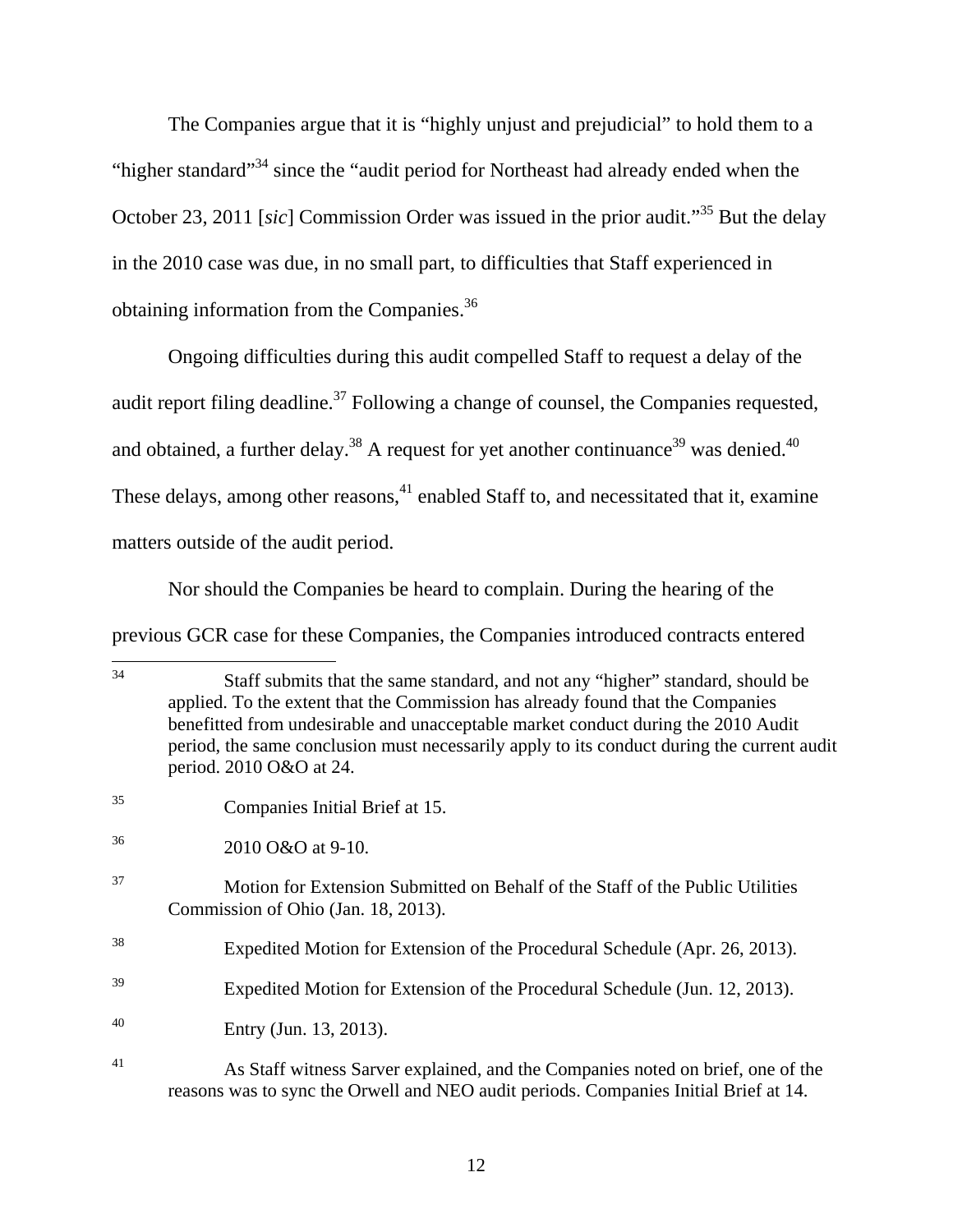The Companies argue that it is "highly unjust and prejudicial" to hold them to a "higher standard"<sup>34</sup> since the "audit period for Northeast had already ended when the October 23, 2011 [*sic*] Commission Order was issued in the prior audit."<sup>35</sup> But the delay in the 2010 case was due, in no small part, to difficulties that Staff experienced in obtaining information from the Companies.36

Ongoing difficulties during this audit compelled Staff to request a delay of the audit report filing deadline.<sup>37</sup> Following a change of counsel, the Companies requested, and obtained, a further delay.<sup>38</sup> A request for yet another continuance<sup>39</sup> was denied.<sup>40</sup> These delays, among other reasons,  $41$  enabled Staff to, and necessitated that it, examine matters outside of the audit period.

Nor should the Companies be heard to complain. During the hearing of the previous GCR case for these Companies, the Companies introduced contracts entered

 $34$ Staff submits that the same standard, and not any "higher" standard, should be applied. To the extent that the Commission has already found that the Companies benefitted from undesirable and unacceptable market conduct during the 2010 Audit period, the same conclusion must necessarily apply to its conduct during the current audit period. 2010 O&O at 24.

<sup>35</sup> Companies Initial Brief at 15.

<sup>36 2010</sup> O&O at 9-10.

<sup>37</sup> Motion for Extension Submitted on Behalf of the Staff of the Public Utilities Commission of Ohio (Jan. 18, 2013).

<sup>38</sup> Expedited Motion for Extension of the Procedural Schedule (Apr. 26, 2013).

<sup>39</sup> Expedited Motion for Extension of the Procedural Schedule (Jun. 12, 2013).

<sup>40</sup> Entry (Jun. 13, 2013).

<sup>41</sup> As Staff witness Sarver explained, and the Companies noted on brief, one of the reasons was to sync the Orwell and NEO audit periods. Companies Initial Brief at 14.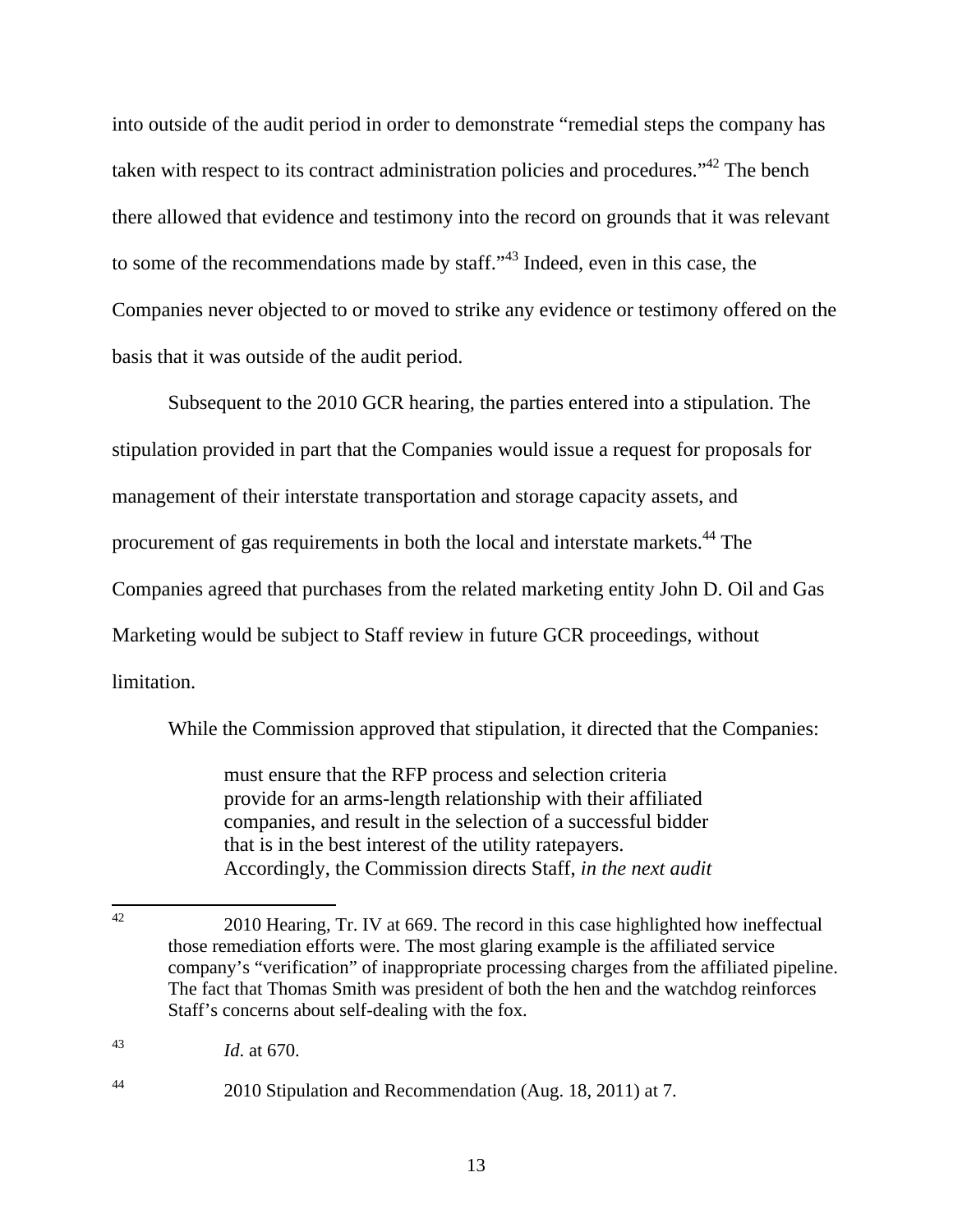into outside of the audit period in order to demonstrate "remedial steps the company has taken with respect to its contract administration policies and procedures."<sup>42</sup> The bench there allowed that evidence and testimony into the record on grounds that it was relevant to some of the recommendations made by staff."43 Indeed, even in this case, the Companies never objected to or moved to strike any evidence or testimony offered on the basis that it was outside of the audit period.

Subsequent to the 2010 GCR hearing, the parties entered into a stipulation. The stipulation provided in part that the Companies would issue a request for proposals for management of their interstate transportation and storage capacity assets, and procurement of gas requirements in both the local and interstate markets.44 The Companies agreed that purchases from the related marketing entity John D. Oil and Gas Marketing would be subject to Staff review in future GCR proceedings, without limitation.

While the Commission approved that stipulation, it directed that the Companies:

must ensure that the RFP process and selection criteria provide for an arms-length relationship with their affiliated companies, and result in the selection of a successful bidder that is in the best interest of the utility ratepayers. Accordingly, the Commission directs Staff, *in the next audit* 

 $42$ 42 2010 Hearing, Tr. IV at 669. The record in this case highlighted how ineffectual those remediation efforts were. The most glaring example is the affiliated service company's "verification" of inappropriate processing charges from the affiliated pipeline. The fact that Thomas Smith was president of both the hen and the watchdog reinforces Staff's concerns about self-dealing with the fox.

<sup>43</sup> *Id*. at 670.

<sup>44 2010</sup> Stipulation and Recommendation (Aug. 18, 2011) at 7.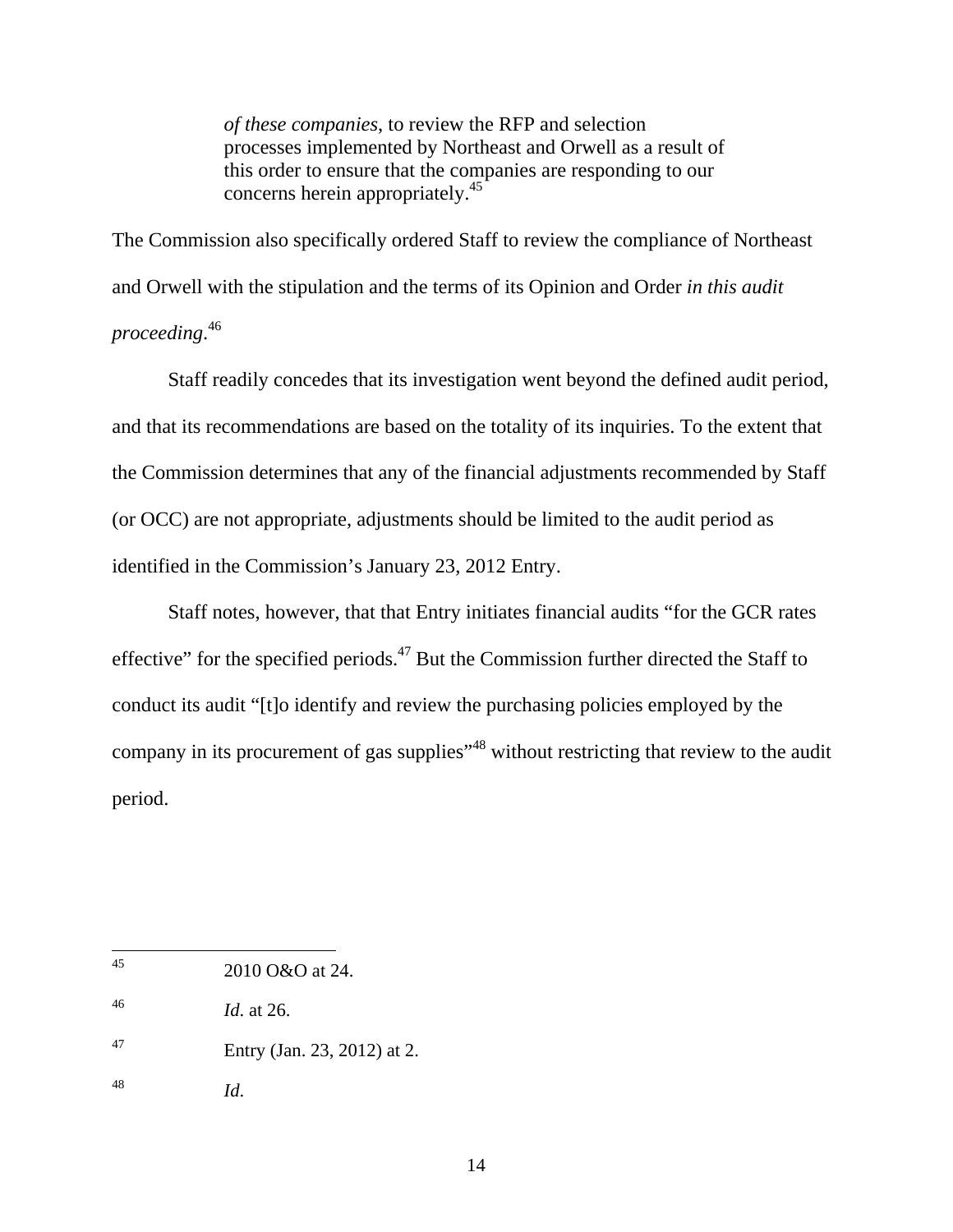*of these companies*, to review the RFP and selection processes implemented by Northeast and Orwell as a result of this order to ensure that the companies are responding to our concerns herein appropriately.<sup>45</sup>

The Commission also specifically ordered Staff to review the compliance of Northeast and Orwell with the stipulation and the terms of its Opinion and Order *in this audit proceeding*. 46

Staff readily concedes that its investigation went beyond the defined audit period, and that its recommendations are based on the totality of its inquiries. To the extent that the Commission determines that any of the financial adjustments recommended by Staff (or OCC) are not appropriate, adjustments should be limited to the audit period as identified in the Commission's January 23, 2012 Entry.

Staff notes, however, that that Entry initiates financial audits "for the GCR rates effective" for the specified periods.<sup>47</sup> But the Commission further directed the Staff to conduct its audit "[t]o identify and review the purchasing policies employed by the company in its procurement of gas supplies<sup>"48</sup> without restricting that review to the audit period.

- 47 Entry (Jan. 23, 2012) at 2.
- 48 *Id*.

<sup>45</sup> 2010 O&O at 24.

<sup>46</sup> *Id*. at 26.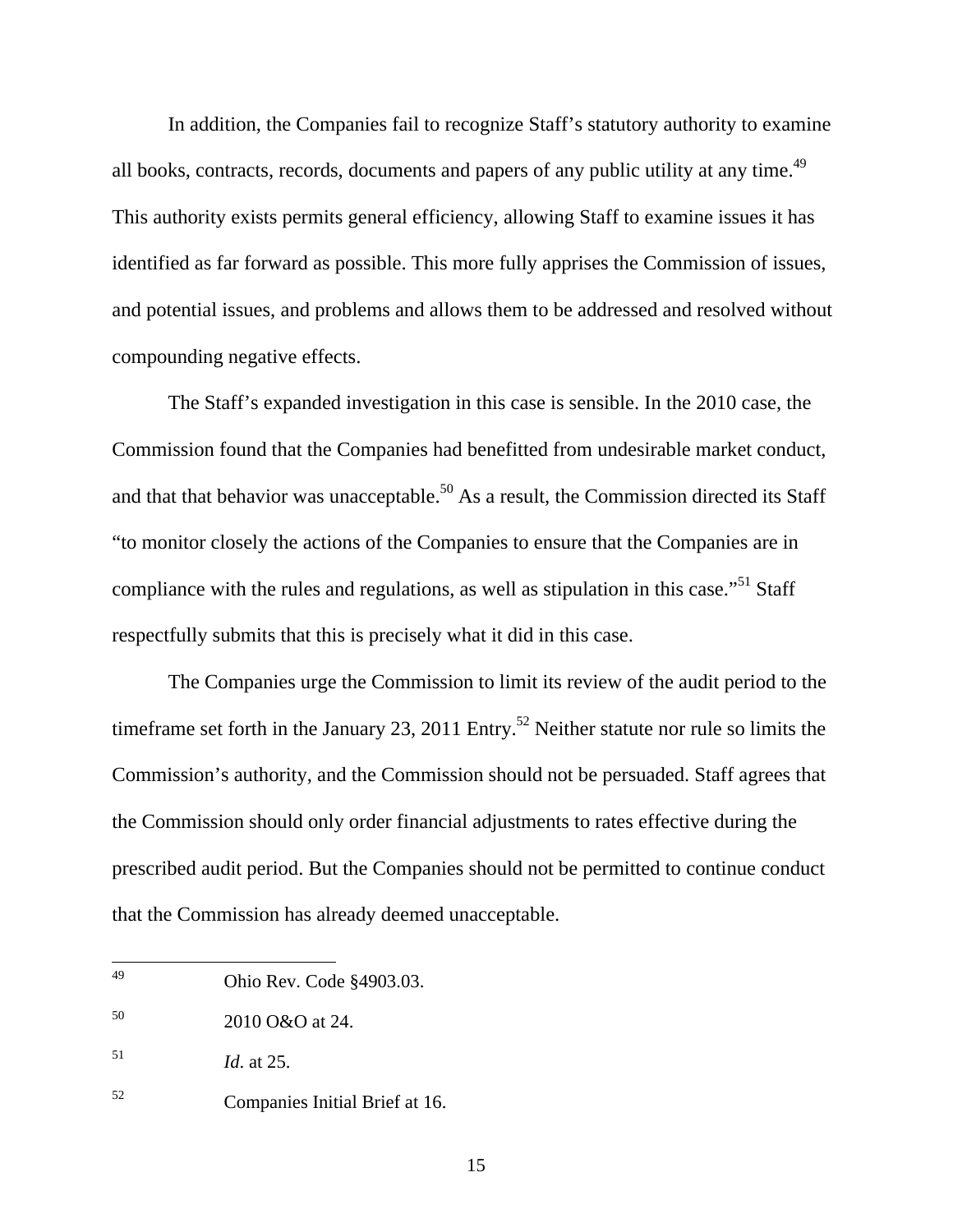In addition, the Companies fail to recognize Staff's statutory authority to examine all books, contracts, records, documents and papers of any public utility at any time.<sup>49</sup> This authority exists permits general efficiency, allowing Staff to examine issues it has identified as far forward as possible. This more fully apprises the Commission of issues, and potential issues, and problems and allows them to be addressed and resolved without compounding negative effects.

The Staff's expanded investigation in this case is sensible. In the 2010 case, the Commission found that the Companies had benefitted from undesirable market conduct, and that that behavior was unacceptable.<sup>50</sup> As a result, the Commission directed its Staff "to monitor closely the actions of the Companies to ensure that the Companies are in compliance with the rules and regulations, as well as stipulation in this case.<sup> $51$ </sup> Staff respectfully submits that this is precisely what it did in this case.

The Companies urge the Commission to limit its review of the audit period to the timeframe set forth in the January 23, 2011 Entry.<sup>52</sup> Neither statute nor rule so limits the Commission's authority, and the Commission should not be persuaded. Staff agrees that the Commission should only order financial adjustments to rates effective during the prescribed audit period. But the Companies should not be permitted to continue conduct that the Commission has already deemed unacceptable.

<sup>49</sup> 49 Ohio Rev. Code §4903.03.

<sup>50 2010</sup> O&O at 24.

<sup>51</sup> *Id*. at 25.

<sup>52</sup> Companies Initial Brief at 16.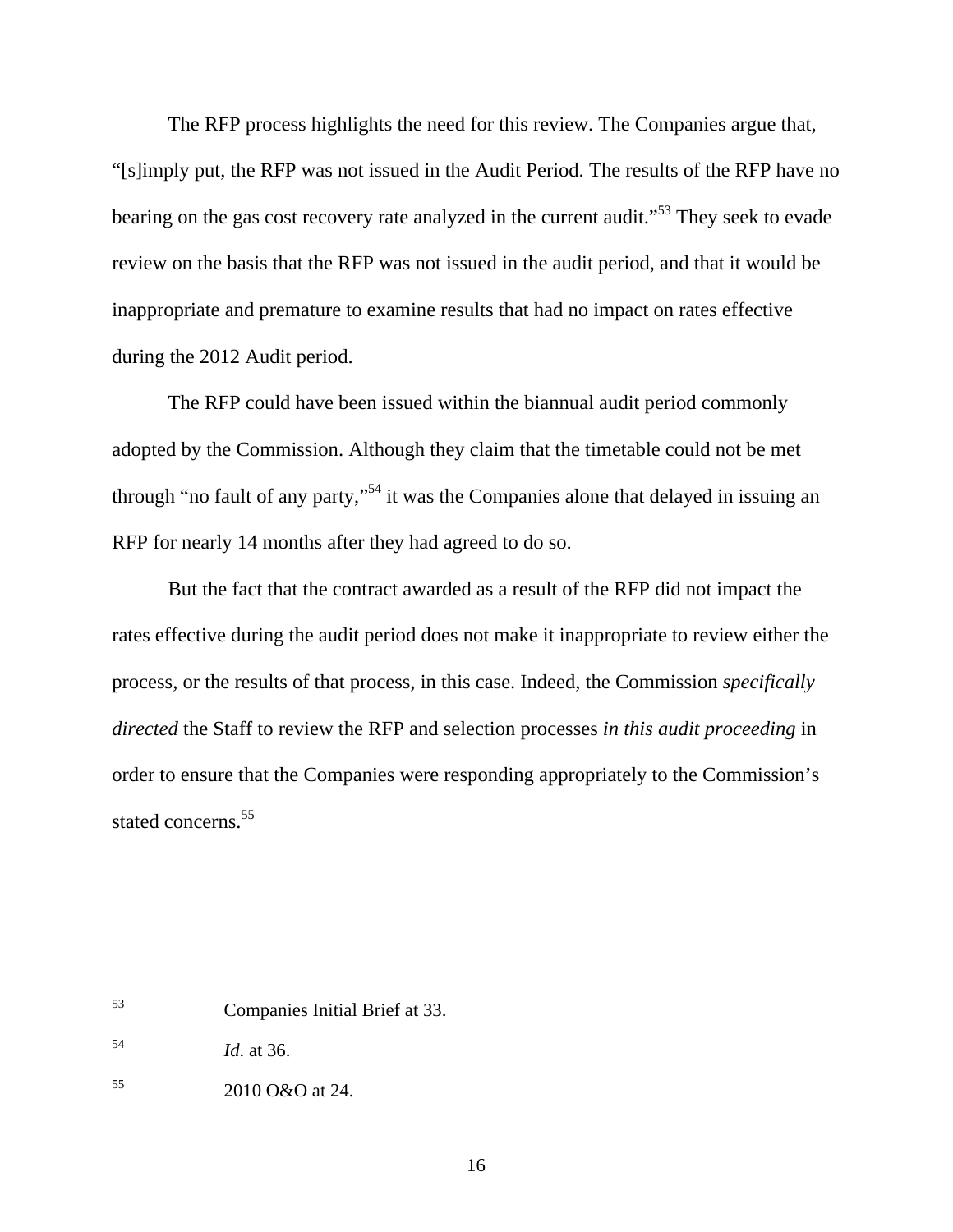The RFP process highlights the need for this review. The Companies argue that, "[s]imply put, the RFP was not issued in the Audit Period. The results of the RFP have no bearing on the gas cost recovery rate analyzed in the current audit."<sup>53</sup> They seek to evade review on the basis that the RFP was not issued in the audit period, and that it would be inappropriate and premature to examine results that had no impact on rates effective during the 2012 Audit period.

The RFP could have been issued within the biannual audit period commonly adopted by the Commission. Although they claim that the timetable could not be met through "no fault of any party,"54 it was the Companies alone that delayed in issuing an RFP for nearly 14 months after they had agreed to do so.

But the fact that the contract awarded as a result of the RFP did not impact the rates effective during the audit period does not make it inappropriate to review either the process, or the results of that process, in this case. Indeed, the Commission *specifically directed* the Staff to review the RFP and selection processes *in this audit proceeding* in order to ensure that the Companies were responding appropriately to the Commission's stated concerns.<sup>55</sup>

<sup>53</sup> 53 Companies Initial Brief at 33.

<sup>54</sup> *Id*. at 36.

<sup>55 2010</sup> O&O at 24.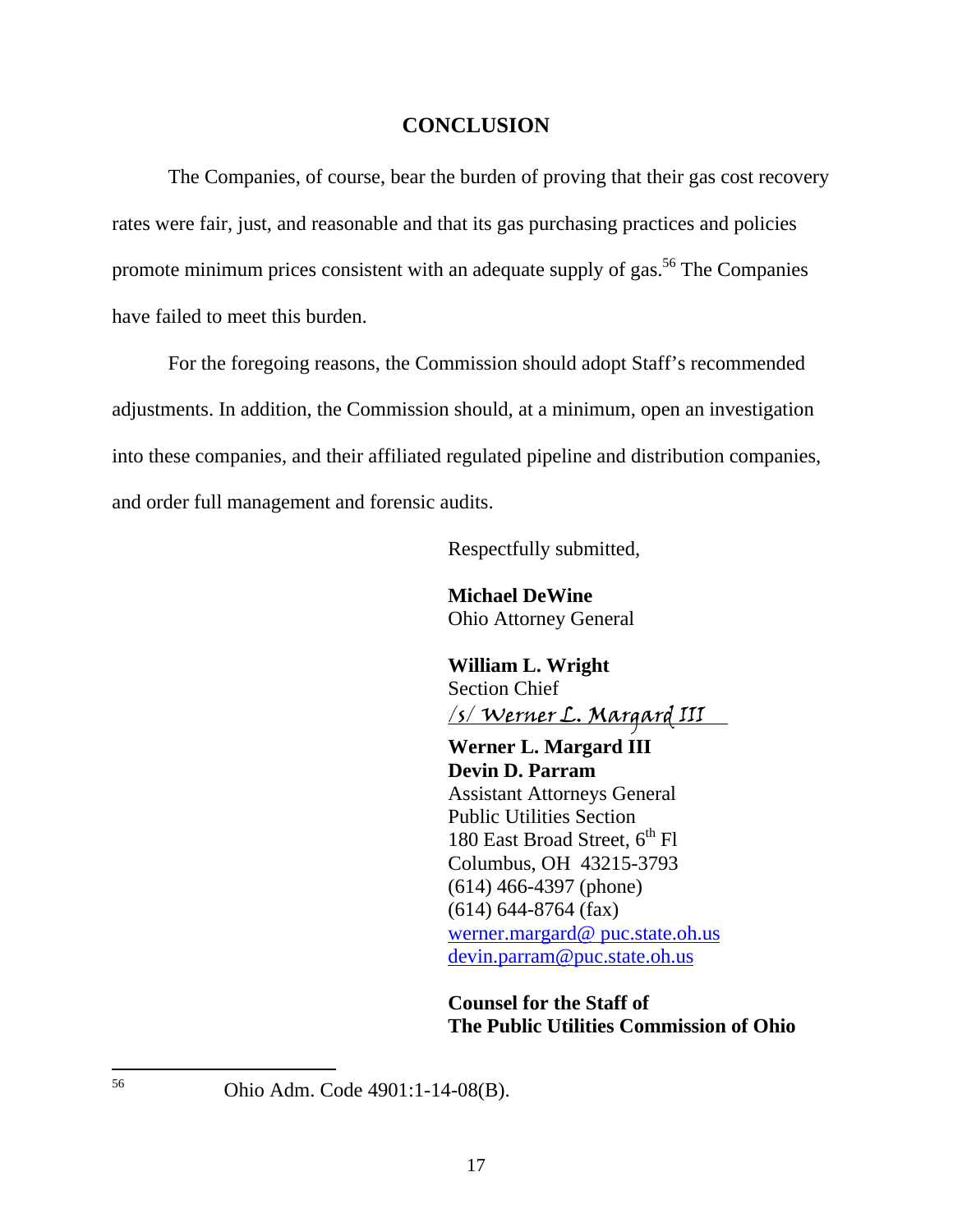#### **CONCLUSION**

 The Companies, of course, bear the burden of proving that their gas cost recovery rates were fair, just, and reasonable and that its gas purchasing practices and policies promote minimum prices consistent with an adequate supply of gas.<sup>56</sup> The Companies have failed to meet this burden.

 For the foregoing reasons, the Commission should adopt Staff's recommended adjustments. In addition, the Commission should, at a minimum, open an investigation into these companies, and their affiliated regulated pipeline and distribution companies, and order full management and forensic audits.

Respectfully submitted,

**Michael DeWine**  Ohio Attorney General

**William L. Wright**  Section Chief /s/ Werner L. Margard III

**Werner L. Margard III Devin D. Parram**  Assistant Attorneys General Public Utilities Section 180 East Broad Street,  $6^{th}$  Fl Columbus, OH 43215-3793 (614) 466-4397 (phone) (614) 644-8764 (fax) werner.margard@ puc.state.oh.us devin.parram@puc.state.oh.us

**Counsel for the Staff of The Public Utilities Commission of Ohio** 

56 Ohio Adm. Code 4901:1-14-08(B).

17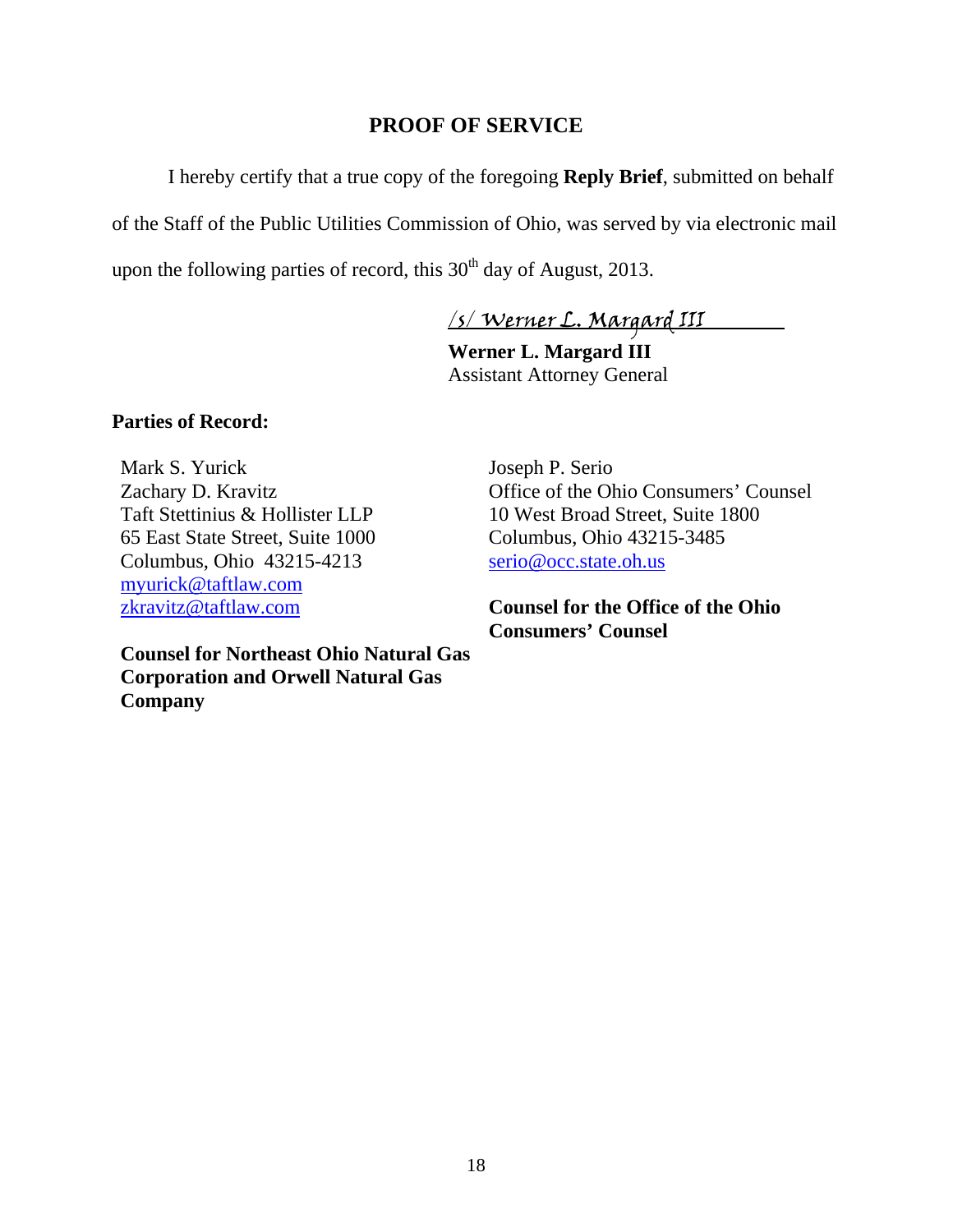## **PROOF OF SERVICE**

 I hereby certify that a true copy of the foregoing **Reply Brief**, submitted on behalf of the Staff of the Public Utilities Commission of Ohio, was served by via electronic mail upon the following parties of record, this  $30<sup>th</sup>$  day of August, 2013.

/s/ Werner L. Margard III

**Werner L. Margard III**  Assistant Attorney General

### **Parties of Record:**

Mark S. Yurick Zachary D. Kravitz Taft Stettinius & Hollister LLP 65 East State Street, Suite 1000 Columbus, Ohio 43215-4213 myurick@taftlaw.com zkravitz@taftlaw.com

**Counsel for Northeast Ohio Natural Gas Corporation and Orwell Natural Gas Company**

Joseph P. Serio Office of the Ohio Consumers' Counsel 10 West Broad Street, Suite 1800 Columbus, Ohio 43215-3485 serio@occ.state.oh.us

**Counsel for the Office of the Ohio Consumers' Counsel**